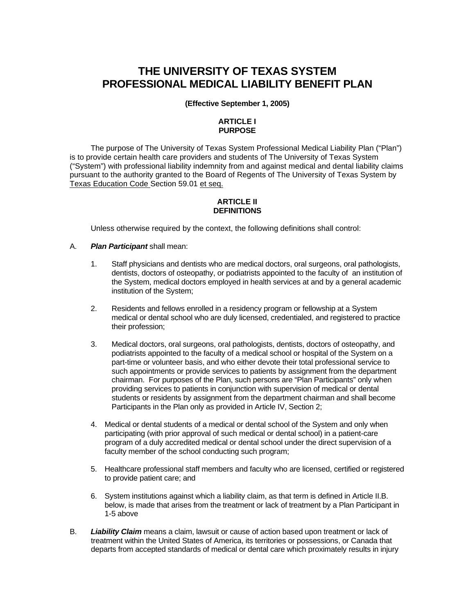# **THE UNIVERSITY OF TEXAS SYSTEM PROFESSIONAL MEDICAL LIABILITY BENEFIT PLAN**

### **(Effective September 1, 2005)**

## **ARTICLE I PURPOSE**

The purpose of The University of Texas System Professional Medical Liability Plan ("Plan") is to provide certain health care providers and students of The University of Texas System ("System") with professional liability indemnity from and against medical and dental liability claims pursuant to the authority granted to the Board of Regents of The University of Texas System by Texas Education Code Section 59.01 et seq.

### **ARTICLE II DEFINITIONS**

Unless otherwise required by the context, the following definitions shall control:

### A. *Plan Participant* shall mean:

- 1. Staff physicians and dentists who are medical doctors, oral surgeons, oral pathologists, dentists, doctors of osteopathy, or podiatrists appointed to the faculty of an institution of the System, medical doctors employed in health services at and by a general academic institution of the System;
- 2. Residents and fellows enrolled in a residency program or fellowship at a System medical or dental school who are duly licensed, credentialed, and registered to practice their profession;
- 3. Medical doctors, oral surgeons, oral pathologists, dentists, doctors of osteopathy, and podiatrists appointed to the faculty of a medical school or hospital of the System on a part-time or volunteer basis, and who either devote their total professional service to such appointments or provide services to patients by assignment from the department chairman. For purposes of the Plan, such persons are "Plan Participants" only when providing services to patients in conjunction with supervision of medical or dental students or residents by assignment from the department chairman and shall become Participants in the Plan only as provided in Article IV, Section 2;
- 4. Medical or dental students of a medical or dental school of the System and only when participating (with prior approval of such medical or dental school) in a patient-care program of a duly accredited medical or dental school under the direct supervision of a faculty member of the school conducting such program;
- 5. Healthcare professional staff members and faculty who are licensed, certified or registered to provide patient care; and
- 6. System institutions against which a liability claim, as that term is defined in Article II.B. below, is made that arises from the treatment or lack of treatment by a Plan Participant in 1-5 above
- B. *Liability Claim* means a claim, lawsuit or cause of action based upon treatment or lack of treatment within the United States of America, its territories or possessions, or Canada that departs from accepted standards of medical or dental care which proximately results in injury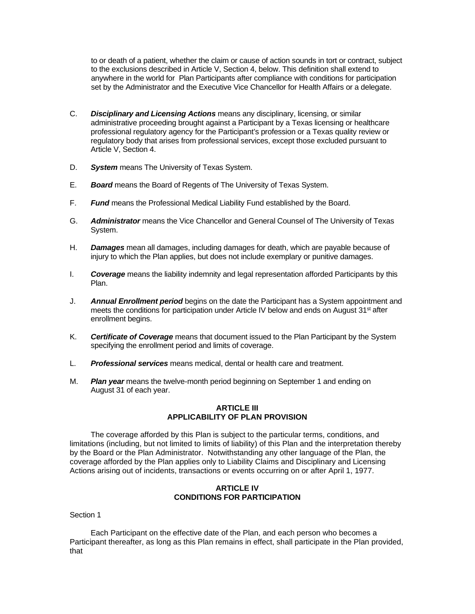to or death of a patient, whether the claim or cause of action sounds in tort or contract, subject to the exclusions described in Article V, Section 4, below. This definition shall extend to anywhere in the world for Plan Participants after compliance with conditions for participation set by the Administrator and the Executive Vice Chancellor for Health Affairs or a delegate.

- C. *Disciplinary and Licensing Actions* means any disciplinary, licensing, or similar administrative proceeding brought against a Participant by a Texas licensing or healthcare professional regulatory agency for the Participant's profession or a Texas quality review or regulatory body that arises from professional services, except those excluded pursuant to Article V, Section 4.
- D. *System* means The University of Texas System.
- E. *Board* means the Board of Regents of The University of Texas System.
- F. *Fund* means the Professional Medical Liability Fund established by the Board.
- G. *Administrator* means the Vice Chancellor and General Counsel of The University of Texas System.
- H. *Damages* mean all damages, including damages for death, which are payable because of injury to which the Plan applies, but does not include exemplary or punitive damages.
- I. *Coverage* means the liability indemnity and legal representation afforded Participants by this Plan.
- J. *Annual Enrollment period* begins on the date the Participant has a System appointment and meets the conditions for participation under Article IV below and ends on August 31<sup>st</sup> after enrollment begins.
- K. *Certificate of Coverage* means that document issued to the Plan Participant by the System specifying the enrollment period and limits of coverage.
- L. *Professional services* means medical, dental or health care and treatment.
- M. *Plan year* means the twelve-month period beginning on September 1 and ending on August 31 of each year.

### **ARTICLE III APPLICABILITY OF PLAN PROVISION**

The coverage afforded by this Plan is subject to the particular terms, conditions, and limitations (including, but not limited to limits of liability) of this Plan and the interpretation thereby by the Board or the Plan Administrator. Notwithstanding any other language of the Plan, the coverage afforded by the Plan applies only to Liability Claims and Disciplinary and Licensing Actions arising out of incidents, transactions or events occurring on or after April 1, 1977.

### **ARTICLE IV CONDITIONS FOR PARTICIPATION**

Section 1

Each Participant on the effective date of the Plan, and each person who becomes a Participant thereafter, as long as this Plan remains in effect, shall participate in the Plan provided, that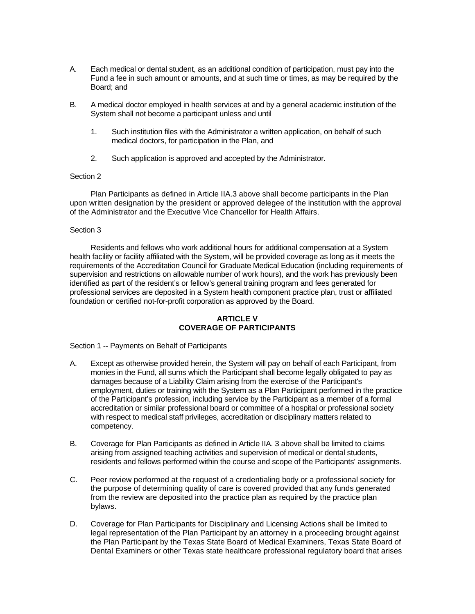- A. Each medical or dental student, as an additional condition of participation, must pay into the Fund a fee in such amount or amounts, and at such time or times, as may be required by the Board; and
- B. A medical doctor employed in health services at and by a general academic institution of the System shall not become a participant unless and until
	- 1. Such institution files with the Administrator a written application, on behalf of such medical doctors, for participation in the Plan, and
	- 2. Such application is approved and accepted by the Administrator.

### Section 2

Plan Participants as defined in Article IIA.3 above shall become participants in the Plan upon written designation by the president or approved delegee of the institution with the approval of the Administrator and the Executive Vice Chancellor for Health Affairs.

### Section 3

Residents and fellows who work additional hours for additional compensation at a System health facility or facility affiliated with the System, will be provided coverage as long as it meets the requirements of the Accreditation Council for Graduate Medical Education (including requirements of supervision and restrictions on allowable number of work hours), and the work has previously been identified as part of the resident's or fellow's general training program and fees generated for professional services are deposited in a System health component practice plan, trust or affiliated foundation or certified not-for-profit corporation as approved by the Board.

### **ARTICLE V COVERAGE OF PARTICIPANTS**

Section 1 -- Payments on Behalf of Participants

- A. Except as otherwise provided herein, the System will pay on behalf of each Participant, from monies in the Fund, all sums which the Participant shall become legally obligated to pay as damages because of a Liability Claim arising from the exercise of the Participant's employment, duties or training with the System as a Plan Participant performed in the practice of the Participant's profession, including service by the Participant as a member of a formal accreditation or similar professional board or committee of a hospital or professional society with respect to medical staff privileges, accreditation or disciplinary matters related to competency.
- B. Coverage for Plan Participants as defined in Article IIA. 3 above shall be limited to claims arising from assigned teaching activities and supervision of medical or dental students, residents and fellows performed within the course and scope of the Participants' assignments.
- C. Peer review performed at the request of a credentialing body or a professional society for the purpose of determining quality of care is covered provided that any funds generated from the review are deposited into the practice plan as required by the practice plan bylaws.
- D. Coverage for Plan Participants for Disciplinary and Licensing Actions shall be limited to legal representation of the Plan Participant by an attorney in a proceeding brought against the Plan Participant by the Texas State Board of Medical Examiners, Texas State Board of Dental Examiners or other Texas state healthcare professional regulatory board that arises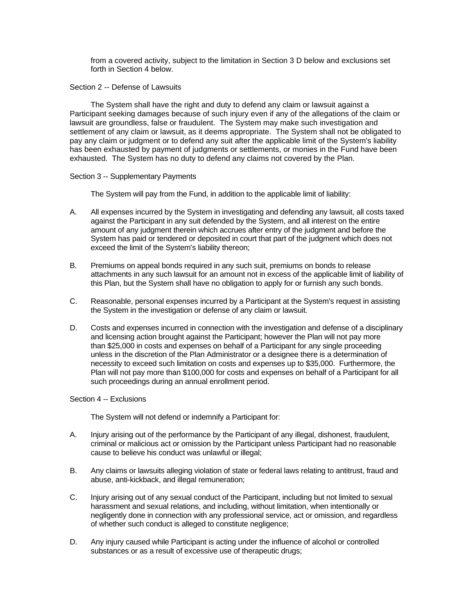from a covered activity, subject to the limitation in Section 3 D below and exclusions set forth in Section 4 below.

Section 2 -- Defense of Lawsuits

The System shall have the right and duty to defend any claim or lawsuit against a Participant seeking damages because of such injury even if any of the allegations of the claim or lawsuit are groundless, false or fraudulent. The System may make such investigation and settlement of any claim or lawsuit, as it deems appropriate. The System shall not be obligated to pay any claim or judgment or to defend any suit after the applicable limit of the System's liability has been exhausted by payment of judgments or settlements, or monies in the Fund have been exhausted. The System has no duty to defend any claims not covered by the Plan.

### Section 3 -- Supplementary Payments

The System will pay from the Fund, in addition to the applicable limit of liability:

- A. All expenses incurred by the System in investigating and defending any lawsuit, all costs taxed against the Participant in any suit defended by the System, and all interest on the entire amount of any judgment therein which accrues after entry of the judgment and before the System has paid or tendered or deposited in court that part of the judgment which does not exceed the limit of the System's liability thereon;
- B. Premiums on appeal bonds required in any such suit, premiums on bonds to release attachments in any such lawsuit for an amount not in excess of the applicable limit of liability of this Plan, but the System shall have no obligation to apply for or furnish any such bonds.
- C. Reasonable, personal expenses incurred by a Participant at the System's request in assisting the System in the investigation or defense of any claim or lawsuit.
- D. Costs and expenses incurred in connection with the investigation and defense of a disciplinary and licensing action brought against the Participant; however the Plan will not pay more than \$25,000 in costs and expenses on behalf of a Participant for any single proceeding unless in the discretion of the Plan Administrator or a designee there is a determination of necessity to exceed such limitation on costs and expenses up to \$35,000. Furthermore, the Plan will not pay more than \$100,000 for costs and expenses on behalf of a Participant for all such proceedings during an annual enrollment period.

### Section 4 -- Exclusions

The System will not defend or indemnify a Participant for:

- A. Injury arising out of the performance by the Participant of any illegal, dishonest, fraudulent, criminal or malicious act or omission by the Participant unless Participant had no reasonable cause to believe his conduct was unlawful or illegal;
- B. Any claims or lawsuits alleging violation of state or federal laws relating to antitrust, fraud and abuse, anti-kickback, and illegal remuneration;
- C. Injury arising out of any sexual conduct of the Participant, including but not limited to sexual harassment and sexual relations, and including, without limitation, when intentionally or negligently done in connection with any professional service, act or omission, and regardless of whether such conduct is alleged to constitute negligence;
- D. Any injury caused while Participant is acting under the influence of alcohol or controlled substances or as a result of excessive use of therapeutic drugs;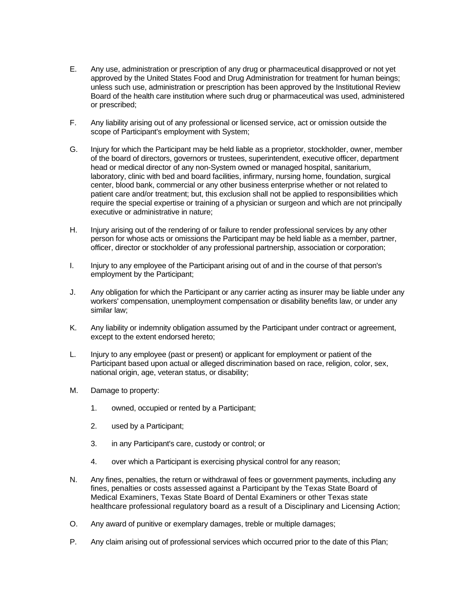- E. Any use, administration or prescription of any drug or pharmaceutical disapproved or not yet approved by the United States Food and Drug Administration for treatment for human beings; unless such use, administration or prescription has been approved by the Institutional Review Board of the health care institution where such drug or pharmaceutical was used, administered or prescribed;
- F. Any liability arising out of any professional or licensed service, act or omission outside the scope of Participant's employment with System;
- G. Injury for which the Participant may be held liable as a proprietor, stockholder, owner, member of the board of directors, governors or trustees, superintendent, executive officer, department head or medical director of any non-System owned or managed hospital, sanitarium, laboratory, clinic with bed and board facilities, infirmary, nursing home, foundation, surgical center, blood bank, commercial or any other business enterprise whether or not related to patient care and/or treatment; but, this exclusion shall not be applied to responsibilities which require the special expertise or training of a physician or surgeon and which are not principally executive or administrative in nature;
- H. Injury arising out of the rendering of or failure to render professional services by any other person for whose acts or omissions the Participant may be held liable as a member, partner, officer, director or stockholder of any professional partnership, association or corporation;
- I. Injury to any employee of the Participant arising out of and in the course of that person's employment by the Participant;
- J. Any obligation for which the Participant or any carrier acting as insurer may be liable under any workers' compensation, unemployment compensation or disability benefits law, or under any similar law;
- K. Any liability or indemnity obligation assumed by the Participant under contract or agreement, except to the extent endorsed hereto;
- L. Injury to any employee (past or present) or applicant for employment or patient of the Participant based upon actual or alleged discrimination based on race, religion, color, sex, national origin, age, veteran status, or disability;
- M. Damage to property:
	- 1. owned, occupied or rented by a Participant;
	- 2. used by a Participant;
	- 3. in any Participant's care, custody or control; or
	- 4. over which a Participant is exercising physical control for any reason;
- N. Any fines, penalties, the return or withdrawal of fees or government payments, including any fines, penalties or costs assessed against a Participant by the Texas State Board of Medical Examiners, Texas State Board of Dental Examiners or other Texas state healthcare professional regulatory board as a result of a Disciplinary and Licensing Action;
- O. Any award of punitive or exemplary damages, treble or multiple damages;
- P. Any claim arising out of professional services which occurred prior to the date of this Plan;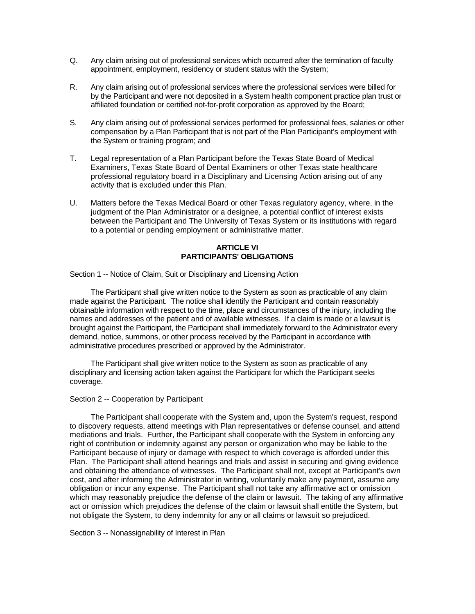- Q. Any claim arising out of professional services which occurred after the termination of faculty appointment, employment, residency or student status with the System;
- R. Any claim arising out of professional services where the professional services were billed for by the Participant and were not deposited in a System health component practice plan trust or affiliated foundation or certified not-for-profit corporation as approved by the Board;
- S. Any claim arising out of professional services performed for professional fees, salaries or other compensation by a Plan Participant that is not part of the Plan Participant's employment with the System or training program; and
- T. Legal representation of a Plan Participant before the Texas State Board of Medical Examiners, Texas State Board of Dental Examiners or other Texas state healthcare professional regulatory board in a Disciplinary and Licensing Action arising out of any activity that is excluded under this Plan.
- U. Matters before the Texas Medical Board or other Texas regulatory agency, where, in the judgment of the Plan Administrator or a designee, a potential conflict of interest exists between the Participant and The University of Texas System or its institutions with regard to a potential or pending employment or administrative matter.

### **ARTICLE VI PARTICIPANTS' OBLIGATIONS**

Section 1 -- Notice of Claim, Suit or Disciplinary and Licensing Action

The Participant shall give written notice to the System as soon as practicable of any claim made against the Participant. The notice shall identify the Participant and contain reasonably obtainable information with respect to the time, place and circumstances of the injury, including the names and addresses of the patient and of available witnesses. If a claim is made or a lawsuit is brought against the Participant, the Participant shall immediately forward to the Administrator every demand, notice, summons, or other process received by the Participant in accordance with administrative procedures prescribed or approved by the Administrator.

The Participant shall give written notice to the System as soon as practicable of any disciplinary and licensing action taken against the Participant for which the Participant seeks coverage.

#### Section 2 -- Cooperation by Participant

The Participant shall cooperate with the System and, upon the System's request, respond to discovery requests, attend meetings with Plan representatives or defense counsel, and attend mediations and trials. Further, the Participant shall cooperate with the System in enforcing any right of contribution or indemnity against any person or organization who may be liable to the Participant because of injury or damage with respect to which coverage is afforded under this Plan. The Participant shall attend hearings and trials and assist in securing and giving evidence and obtaining the attendance of witnesses. The Participant shall not, except at Participant's own cost, and after informing the Administrator in writing, voluntarily make any payment, assume any obligation or incur any expense. The Participant shall not take any affirmative act or omission which may reasonably prejudice the defense of the claim or lawsuit. The taking of any affirmative act or omission which prejudices the defense of the claim or lawsuit shall entitle the System, but not obligate the System, to deny indemnity for any or all claims or lawsuit so prejudiced.

Section 3 -- Nonassignability of Interest in Plan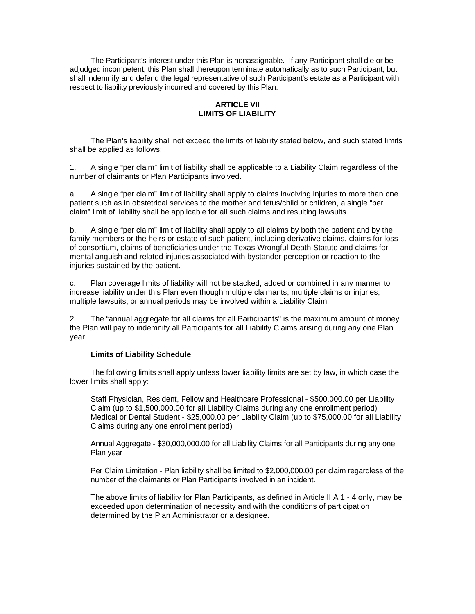The Participant's interest under this Plan is nonassignable. If any Participant shall die or be adjudged incompetent, this Plan shall thereupon terminate automatically as to such Participant, but shall indemnify and defend the legal representative of such Participant's estate as a Participant with respect to liability previously incurred and covered by this Plan.

# **ARTICLE VII LIMITS OF LIABILITY**

The Plan's liability shall not exceed the limits of liability stated below, and such stated limits shall be applied as follows:

1. A single "per claim" limit of liability shall be applicable to a Liability Claim regardless of the number of claimants or Plan Participants involved.

a. A single "per claim" limit of liability shall apply to claims involving injuries to more than one patient such as in obstetrical services to the mother and fetus/child or children, a single "per claim" limit of liability shall be applicable for all such claims and resulting lawsuits.

b. A single "per claim" limit of liability shall apply to all claims by both the patient and by the family members or the heirs or estate of such patient, including derivative claims, claims for loss of consortium, claims of beneficiaries under the Texas Wrongful Death Statute and claims for mental anguish and related injuries associated with bystander perception or reaction to the injuries sustained by the patient.

c. Plan coverage limits of liability will not be stacked, added or combined in any manner to increase liability under this Plan even though multiple claimants, multiple claims or injuries, multiple lawsuits, or annual periods may be involved within a Liability Claim.

2. The "annual aggregate for all claims for all Participants" is the maximum amount of money the Plan will pay to indemnify all Participants for all Liability Claims arising during any one Plan year.

#### **Limits of Liability Schedule**

The following limits shall apply unless lower liability limits are set by law, in which case the lower limits shall apply:

Staff Physician, Resident, Fellow and Healthcare Professional - \$500,000.00 per Liability Claim (up to \$1,500,000.00 for all Liability Claims during any one enrollment period) Medical or Dental Student - \$25,000.00 per Liability Claim (up to \$75,000.00 for all Liability Claims during any one enrollment period)

Annual Aggregate - \$30,000,000.00 for all Liability Claims for all Participants during any one Plan year

Per Claim Limitation - Plan liability shall be limited to \$2,000,000.00 per claim regardless of the number of the claimants or Plan Participants involved in an incident.

The above limits of liability for Plan Participants, as defined in Article II A 1 - 4 only, may be exceeded upon determination of necessity and with the conditions of participation determined by the Plan Administrator or a designee.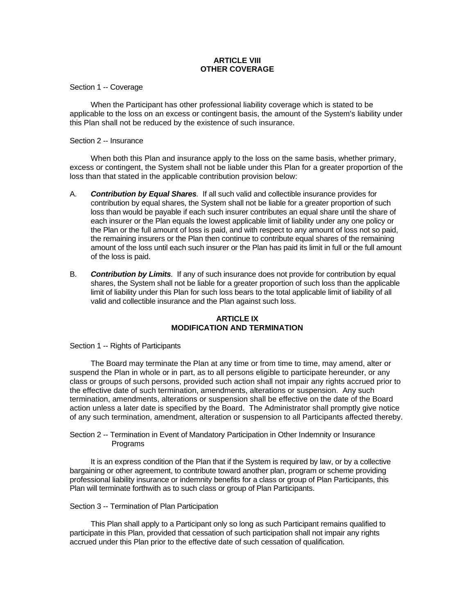### **ARTICLE VIII OTHER COVERAGE**

Section 1 -- Coverage

When the Participant has other professional liability coverage which is stated to be applicable to the loss on an excess or contingent basis, the amount of the System's liability under this Plan shall not be reduced by the existence of such insurance.

### Section 2 -- Insurance

When both this Plan and insurance apply to the loss on the same basis, whether primary, excess or contingent, the System shall not be liable under this Plan for a greater proportion of the loss than that stated in the applicable contribution provision below:

- A. *Contribution by Equal Shares.* If all such valid and collectible insurance provides for contribution by equal shares, the System shall not be liable for a greater proportion of such loss than would be payable if each such insurer contributes an equal share until the share of each insurer or the Plan equals the lowest applicable limit of liability under any one policy or the Plan or the full amount of loss is paid, and with respect to any amount of loss not so paid, the remaining insurers or the Plan then continue to contribute equal shares of the remaining amount of the loss until each such insurer or the Plan has paid its limit in full or the full amount of the loss is paid.
- B. *Contribution by Limits.* If any of such insurance does not provide for contribution by equal shares, the System shall not be liable for a greater proportion of such loss than the applicable limit of liability under this Plan for such loss bears to the total applicable limit of liability of all valid and collectible insurance and the Plan against such loss.

### **ARTICLE IX MODIFICATION AND TERMINATION**

Section 1 -- Rights of Participants

The Board may terminate the Plan at any time or from time to time, may amend, alter or suspend the Plan in whole or in part, as to all persons eligible to participate hereunder, or any class or groups of such persons, provided such action shall not impair any rights accrued prior to the effective date of such termination, amendments, alterations or suspension. Any such termination, amendments, alterations or suspension shall be effective on the date of the Board action unless a later date is specified by the Board. The Administrator shall promptly give notice of any such termination, amendment, alteration or suspension to all Participants affected thereby.

Section 2 -- Termination in Event of Mandatory Participation in Other Indemnity or Insurance Programs

It is an express condition of the Plan that if the System is required by law, or by a collective bargaining or other agreement, to contribute toward another plan, program or scheme providing professional liability insurance or indemnity benefits for a class or group of Plan Participants, this Plan will terminate forthwith as to such class or group of Plan Participants.

# Section 3 -- Termination of Plan Participation

This Plan shall apply to a Participant only so long as such Participant remains qualified to participate in this Plan, provided that cessation of such participation shall not impair any rights accrued under this Plan prior to the effective date of such cessation of qualification.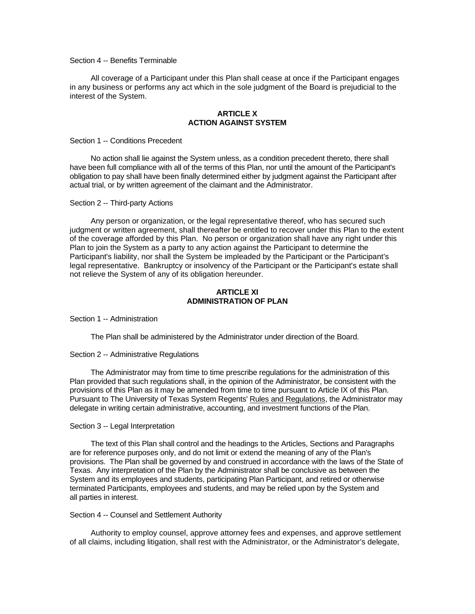### Section 4 -- Benefits Terminable

All coverage of a Participant under this Plan shall cease at once if the Participant engages in any business or performs any act which in the sole judgment of the Board is prejudicial to the interest of the System.

### **ARTICLE X ACTION AGAINST SYSTEM**

Section 1 -- Conditions Precedent

No action shall lie against the System unless, as a condition precedent thereto, there shall have been full compliance with all of the terms of this Plan, nor until the amount of the Participant's obligation to pay shall have been finally determined either by judgment against the Participant after actual trial, or by written agreement of the claimant and the Administrator.

#### Section 2 -- Third-party Actions

Any person or organization, or the legal representative thereof, who has secured such judgment or written agreement, shall thereafter be entitled to recover under this Plan to the extent of the coverage afforded by this Plan. No person or organization shall have any right under this Plan to join the System as a party to any action against the Participant to determine the Participant's liability, nor shall the System be impleaded by the Participant or the Participant's legal representative. Bankruptcy or insolvency of the Participant or the Participant's estate shall not relieve the System of any of its obligation hereunder.

### **ARTICLE XI ADMINISTRATION OF PLAN**

Section 1 -- Administration

The Plan shall be administered by the Administrator under direction of the Board.

#### Section 2 -- Administrative Regulations

The Administrator may from time to time prescribe regulations for the administration of this Plan provided that such regulations shall, in the opinion of the Administrator, be consistent with the provisions of this Plan as it may be amended from time to time pursuant to Article IX of this Plan. Pursuant to The University of Texas System Regents' Rules and Regulations, the Administrator may delegate in writing certain administrative, accounting, and investment functions of the Plan.

#### Section 3 -- Legal Interpretation

The text of this Plan shall control and the headings to the Articles, Sections and Paragraphs are for reference purposes only, and do not limit or extend the meaning of any of the Plan's provisions. The Plan shall be governed by and construed in accordance with the laws of the State of Texas. Any interpretation of the Plan by the Administrator shall be conclusive as between the System and its employees and students, participating Plan Participant, and retired or otherwise terminated Participants, employees and students, and may be relied upon by the System and all parties in interest.

#### Section 4 -- Counsel and Settlement Authority

Authority to employ counsel, approve attorney fees and expenses, and approve settlement of all claims, including litigation, shall rest with the Administrator, or the Administrator's delegate,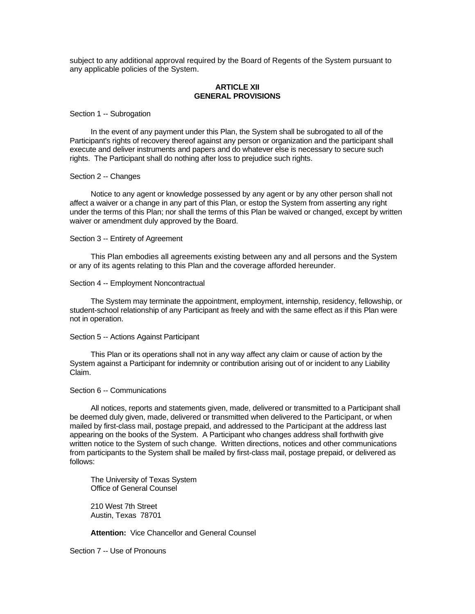subject to any additional approval required by the Board of Regents of the System pursuant to any applicable policies of the System.

### **ARTICLE XII GENERAL PROVISIONS**

#### Section 1 -- Subrogation

In the event of any payment under this Plan, the System shall be subrogated to all of the Participant's rights of recovery thereof against any person or organization and the participant shall execute and deliver instruments and papers and do whatever else is necessary to secure such rights. The Participant shall do nothing after loss to prejudice such rights.

#### Section 2 -- Changes

Notice to any agent or knowledge possessed by any agent or by any other person shall not affect a waiver or a change in any part of this Plan, or estop the System from asserting any right under the terms of this Plan; nor shall the terms of this Plan be waived or changed, except by written waiver or amendment duly approved by the Board.

#### Section 3 -- Entirety of Agreement

This Plan embodies all agreements existing between any and all persons and the System or any of its agents relating to this Plan and the coverage afforded hereunder.

#### Section 4 -- Employment Noncontractual

The System may terminate the appointment, employment, internship, residency, fellowship, or student-school relationship of any Participant as freely and with the same effect as if this Plan were not in operation.

### Section 5 -- Actions Against Participant

This Plan or its operations shall not in any way affect any claim or cause of action by the System against a Participant for indemnity or contribution arising out of or incident to any Liability Claim.

#### Section 6 -- Communications

All notices, reports and statements given, made, delivered or transmitted to a Participant shall be deemed duly given, made, delivered or transmitted when delivered to the Participant, or when mailed by first-class mail, postage prepaid, and addressed to the Participant at the address last appearing on the books of the System. A Participant who changes address shall forthwith give written notice to the System of such change. Written directions, notices and other communications from participants to the System shall be mailed by first-class mail, postage prepaid, or delivered as follows:

The University of Texas System Office of General Counsel

210 West 7th Street Austin, Texas 78701

**Attention:** Vice Chancellor and General Counsel

Section 7 -- Use of Pronouns